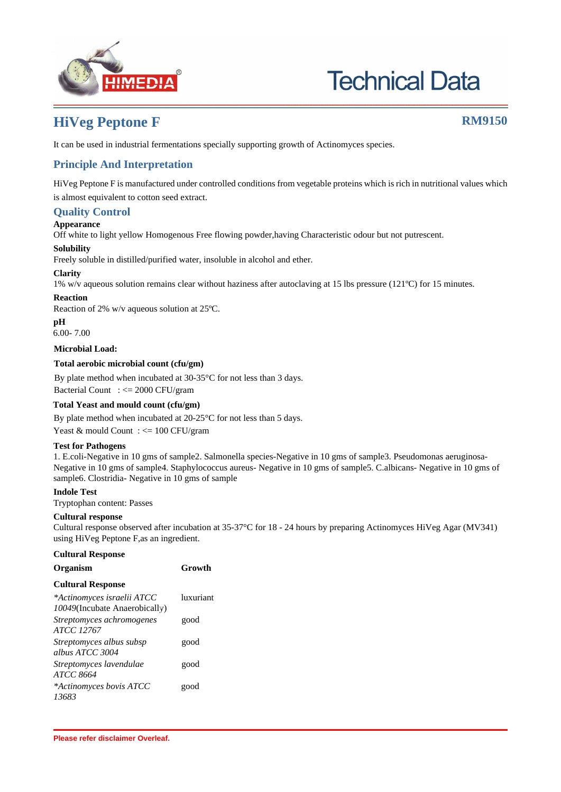

# **Technical Data**

## **HiVeg Peptone F RM9150**

It can be used in industrial fermentations specially supporting growth of Actinomyces species.

### **Principle And Interpretation**

HiVeg Peptone F is manufactured under controlled conditions from vegetable proteins which is rich in nutritional values which is almost equivalent to cotton seed extract.

#### **Quality Control**

#### **Appearance**

Off white to light yellow Homogenous Free flowing powder,having Characteristic odour but not putrescent.

#### **Solubility**

Freely soluble in distilled/purified water, insoluble in alcohol and ether.

#### **Clarity**

1% w/v aqueous solution remains clear without haziness after autoclaving at 15 lbs pressure (121ºC) for 15 minutes.

#### **Reaction**

Reaction of 2% w/v aqueous solution at 25ºC.

**pH**

6.00- 7.00

#### **Microbial Load:**

#### **Total aerobic microbial count (cfu/gm)**

By plate method when incubated at 30-35°C for not less than 3 days.

Bacterial Count : <= 2000 CFU/gram

#### **Total Yeast and mould count (cfu/gm)**

By plate method when incubated at 20-25°C for not less than 5 days.

Yeast & mould Count : <= 100 CFU/gram

#### **Test for Pathogens**

1. E.coli-Negative in 10 gms of sample2. Salmonella species-Negative in 10 gms of sample3. Pseudomonas aeruginosa-Negative in 10 gms of sample4. Staphylococcus aureus- Negative in 10 gms of sample5. C.albicans- Negative in 10 gms of sample6. Clostridia- Negative in 10 gms of sample

#### **Indole Test**

Tryptophan content: Passes

#### **Cultural response**

Cultural response observed after incubation at 35-37°C for 18 - 24 hours by preparing Actinomyces HiVeg Agar (MV341) using HiVeg Peptone F,as an ingredient.

#### **Cultural Response**

| Organism                                                    | Growth    |
|-------------------------------------------------------------|-----------|
| <b>Cultural Response</b>                                    |           |
| *Actinomyces israelii ATCC<br>10049(Incubate Anaerobically) | luxuriant |
| Streptomyces achromogenes<br><i>ATCC 12767</i>              | good      |
| Streptomyces albus subsp<br>albus ATCC 3004                 | good      |
| Streptomyces lavendulae<br>ATCC 8664                        | good      |
| *Actinomyces bovis ATCC<br>13683                            | good      |